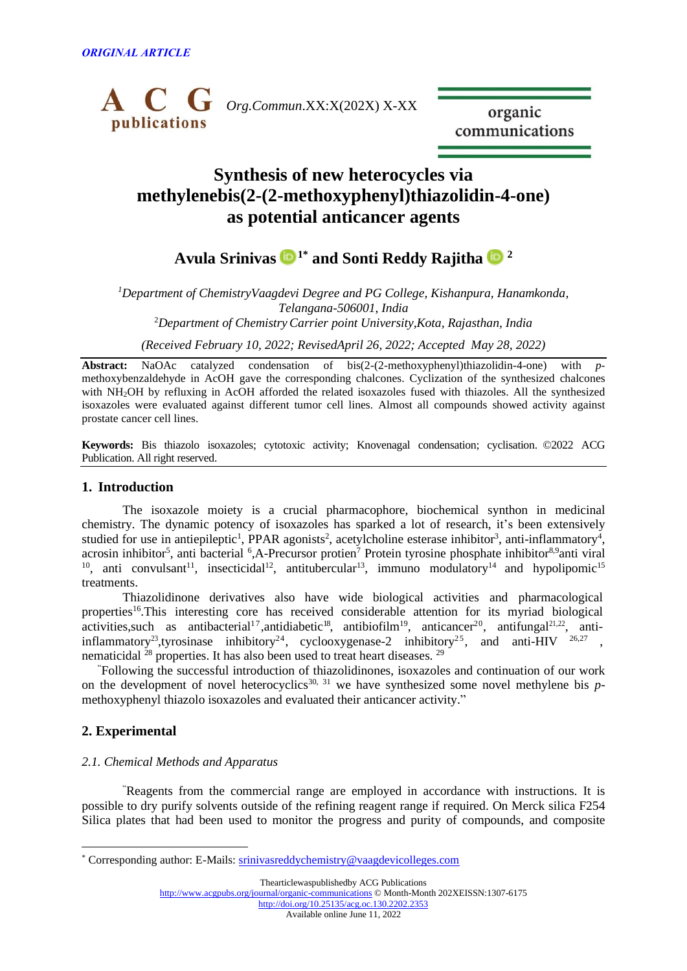

organic communications

# **Synthesis of new heterocycles via methylenebis(2-(2-methoxyphenyl)thiazolidin-4-one) as potential anticancer agents**

**Avula Srinivas [1](https://orcid.org/0000-0001-5916-3371)\* and Sonti Reddy Rajitha [2](https://orcid.org/0000-0002-3052-2593)**

*<sup>1</sup>Department of ChemistryVaagdevi Degree and PG College, Kishanpura, Hanamkonda, Telangana-506001*, *India* <sup>2</sup>*Department of ChemistryCarrier point University,Kota, Rajasthan, India*

*(Received February 10, 2022; RevisedApril 26, 2022; Accepted May 28, 2022)*

**Abstract:** NaOAc catalyzed condensation of bis(2-(2-methoxyphenyl)thiazolidin-4-one) with *p*methoxybenzaldehyde in AcOH gave the corresponding chalcones. Cyclization of the synthesized chalcones with NH<sub>2</sub>OH by refluxing in AcOH afforded the related isoxazoles fused with thiazoles. All the synthesized isoxazoles were evaluated against different tumor cell lines. Almost all compounds showed activity against prostate cancer cell lines.

**Keywords:** Bis thiazolo isoxazoles; cytotoxic activity; Knovenagal condensation; cyclisation. ©2022 ACG Publication. All right reserved.

# **1. Introduction**

The isoxazole moiety is a crucial pharmacophore, biochemical synthon in medicinal chemistry. The dynamic potency of isoxazoles has sparked a lot of research, it's been extensively studied for use in antiepileptic<sup>1</sup>, PPAR agonists<sup>2</sup>, acetylcholine esterase inhibitor<sup>3</sup>, anti-inflammatory<sup>4</sup>, acrosin inhibitor<sup>5</sup>, anti bacterial <sup>6</sup>,A-Precursor protien<sup>7</sup> Protein tyrosine phosphate inhibitor<sup>8,9</sup>anti viral <sup>10</sup>, anti convulsant<sup>11</sup>, insecticidal<sup>12</sup>, antitubercular<sup>13</sup>, immuno modulatory<sup>14</sup> and hypolipomic<sup>15</sup> treatments.

Thiazolidinone derivatives also have wide biological activities and pharmacological properties<sup>16</sup>. This interesting core has received considerable attention for its myriad biological activities, such as antibacterial<sup>17</sup>, antidiabetic<sup>18</sup>, antibiofilm<sup>19</sup>, anticancer<sup>20</sup>, antifungal<sup>21,22</sup>, antiinflammatory<sup>23</sup>, tyrosinase inhibitory<sup>24</sup>, cyclooxygenase-2 inhibitory<sup>25</sup>, and anti-HIV <sup>26,27</sup>, nematicidal  $^{28}$  properties. It has also been used to treat heart diseases.  $^{29}$ 

"Following the successful introduction of thiazolidinones, isoxazoles and continuation of our work on the development of novel heterocyclics<sup>30, 31</sup> we have synthesized some novel methylene bis  $p$ methoxyphenyl thiazolo isoxazoles and evaluated their anticancer activity."

# **2. Experimental**

# *2.1. Chemical Methods and Apparatus*

"Reagents from the commercial range are employed in accordance with instructions. It is possible to dry purify solvents outside of the refining reagent range if required. On Merck silica F254 Silica plates that had been used to monitor the progress and purity of compounds, and composite

Thearticlewaspublishedby ACG Publications <http://www.acgpubs.org/journal/organic-communications> © Month-Month 202XEISSN:1307-6175 <http://doi.org/10.25135/acg.oc.130.2202.2353>

Available online June 11, 2022

<sup>\*</sup> Corresponding author: E-Mails: [srinivasreddychemistry@vaagdevicolleges.com](mailto:srinivasreddychemistry@vaagdevicolleges.com)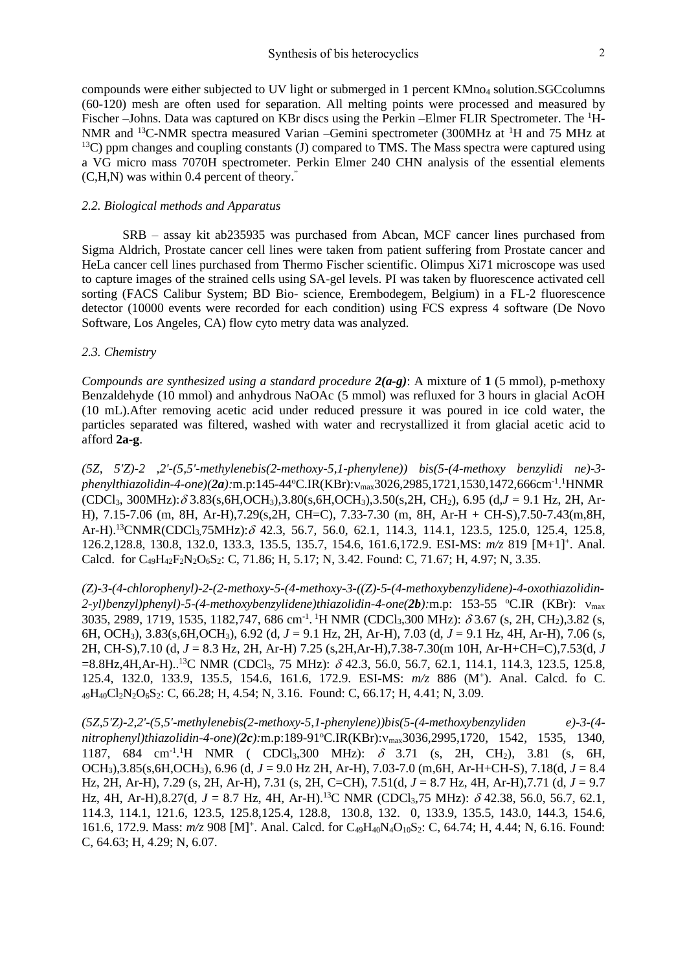compounds were either subjected to UV light or submerged in 1 percent KMno<sub>4</sub> solution.SGCcolumns (60-120) mesh are often used for separation. All melting points were processed and measured by Fischer –Johns. Data was captured on KBr discs using the Perkin –Elmer FLIR Spectrometer. The <sup>1</sup>H-NMR and <sup>13</sup>C-NMR spectra measured Varian –Gemini spectrometer (300MHz at <sup>1</sup>H and 75 MHz at  $13C$ ) ppm changes and coupling constants (J) compared to TMS. The Mass spectra were captured using a VG micro mass 7070H spectrometer. Perkin Elmer 240 CHN analysis of the essential elements (C,H,N) was within 0.4 percent of theory. "

## *2.2. Biological methods and Apparatus*

SRB – assay kit ab235935 was purchased from Abcan, MCF cancer lines purchased from Sigma Aldrich, Prostate cancer cell lines were taken from patient suffering from Prostate cancer and HeLa cancer cell lines purchased from Thermo Fischer scientific. Olimpus Xi71 microscope was used to capture images of the strained cells using SA-gel levels. PI was taken by fluorescence activated cell sorting (FACS Calibur System; BD Bio- science, Erembodegem, Belgium) in a FL-2 fluorescence detector (10000 events were recorded for each condition) using FCS express 4 software (De Novo Software, Los Angeles, CA) flow cyto metry data was analyzed.

# *2.3. Chemistry*

*Compounds are synthesized using a standard procedure 2(a-g)*: A mixture of **1** (5 mmol), p-methoxy Benzaldehyde (10 mmol) and anhydrous NaOAc (5 mmol) was refluxed for 3 hours in glacial AcOH (10 mL).After removing acetic acid under reduced pressure it was poured in ice cold water, the particles separated was filtered, washed with water and recrystallized it from glacial acetic acid to afford **2a-g**.

*(5Z, 5'Z)-2 ,2'-(5,5'-methylenebis(2-methoxy-5,1-phenylene)) bis(5-(4-methoxy benzylidi ne)-3* phenylthiazolidin-4-one)(2a):m.p:145-44°C.IR(KBr):v<sub>max</sub>3026,2985,1721,1530,1472,666cm<sup>-1</sup>.<sup>1</sup>HNMR  $(CDCl_3, 300MHz)$ :  $\delta$  3.83(s, 6H, OCH<sub>3</sub>), 3.80(s, 6H, OCH<sub>3</sub>), 3.50(s, 2H, CH<sub>2</sub>), 6.95 (d, J = 9.1 Hz, 2H, Ar-H), 7.15-7.06 (m, 8H, Ar-H),7.29(s,2H, CH=C), 7.33-7.30 (m, 8H, Ar-H + CH-S),7.50-7.43(m,8H, Ar-H).<sup>13</sup>CNMR(CDCl<sub>3</sub>,75MHz):  $\delta$  42.3, 56.7, 56.0, 62.1, 114.3, 114.1, 123.5, 125.0, 125.4, 125.8, 126.2,128.8, 130.8, 132.0, 133.3, 135.5, 135.7, 154.6, 161.6,172.9. ESI-MS: *m/z* 819 [M+1] + . Anal. Calcd. for  $C_{49}H_{42}F_2N_2O_6S_2$ : C, 71.86; H, 5.17; N, 3.42. Found: C, 71.67; H, 4.97; N, 3.35.

*(Z)-3-(4-chlorophenyl)-2-(2-methoxy-5-(4-methoxy-3-((Z)-5-(4-methoxybenzylidene)-4-oxothiazolidin-*2-yl)benzyl)phenyl)-5-(4-methoxybenzylidene)thiazolidin-4-one(2b):m.p: 153-55 °C.IR (KBr): v<sub>max</sub> 3035, 2989, 1719, 1535, 1182,747, 686 cm<sup>-1</sup>. <sup>1</sup>H NMR (CDCl<sub>3</sub>,300 MHz):  $\delta$ 3.67 (s, 2H, CH<sub>2</sub>),3.82 (s, 6H, OCH3), 3.83(s,6H,OCH3), 6.92 (d, *J* = 9.1 Hz, 2H, Ar-H), 7.03 (d, *J* = 9.1 Hz, 4H, Ar-H), 7.06 (s, 2H, CH-S),7.10 (d, *J* = 8.3 Hz, 2H, Ar-H) 7.25 (s,2H,Ar-H),7.38-7.30(m 10H, Ar-H+CH=C),7.53(d, *J*  $= 8.8$ Hz,4H,Ar-H)..<sup>13</sup>C NMR (CDCl<sub>3</sub>, 75 MHz):  $\delta$  42.3, 56.0, 56.7, 62.1, 114.1, 114.3, 123.5, 125.8, 125.4, 132.0, 133.9, 135.5, 154.6, 161.6, 172.9. ESI-MS: *m/z* 886 (M<sup>+</sup> ). Anal. Calcd. fo C-<sup>49</sup>H40Cl2N2O6S2: C, 66.28; H, 4.54; N, 3.16. Found: C, 66.17; H, 4.41; N, 3.09.

*(5Z,5'Z)-2,2'-(5,5'-methylenebis(2-methoxy-5,1-phenylene))bis(5-(4-methoxybenzyliden e)-3-(4 nitrophenyl)thiazolidin-4-one)(2c):m.p:189-91°C.IR(KBr):v<sub>max</sub>3036,2995,1720, 1542, 1535, 1340,* 1187, 684 cm<sup>-1</sup>.<sup>1</sup>H NMR ( CDCl<sub>3</sub>,300 MHz):  $\delta$  3.71 (s, 2H, CH<sub>2</sub>), 3.81 (s, 6H, OCH3),3.85(s,6H,OCH3), 6.96 (d, *J* = 9.0 Hz 2H, Ar-H), 7.03-7.0 (m,6H, Ar-H+CH-S), 7.18(d, *J* = 8.4 Hz, 2H, Ar-H), 7.29 (s, 2H, Ar-H), 7.31 (s, 2H, C=CH), 7.51(d, *J* = 8.7 Hz, 4H, Ar-H),7.71 (d, *J* = 9.7 Hz, 4H, Ar-H),8.27(d,  $J = 8.7$  Hz, 4H, Ar-H).<sup>13</sup>C NMR (CDCl<sub>3</sub>,75 MHz):  $\delta$  42.38, 56.0, 56.7, 62.1, 114.3, 114.1, 121.6, 123.5, 125.8,125.4, 128.8, 130.8, 132. 0, 133.9, 135.5, 143.0, 144.3, 154.6, 161.6, 172.9. Mass:  $m/z$  908 [M]<sup>+</sup>. Anal. Calcd. for C<sub>49</sub>H<sub>40</sub>N<sub>4</sub>O<sub>10</sub>S<sub>2</sub>: C, 64.74; H, 4.44; N, 6.16. Found: C, 64.63; H, 4.29; N, 6.07.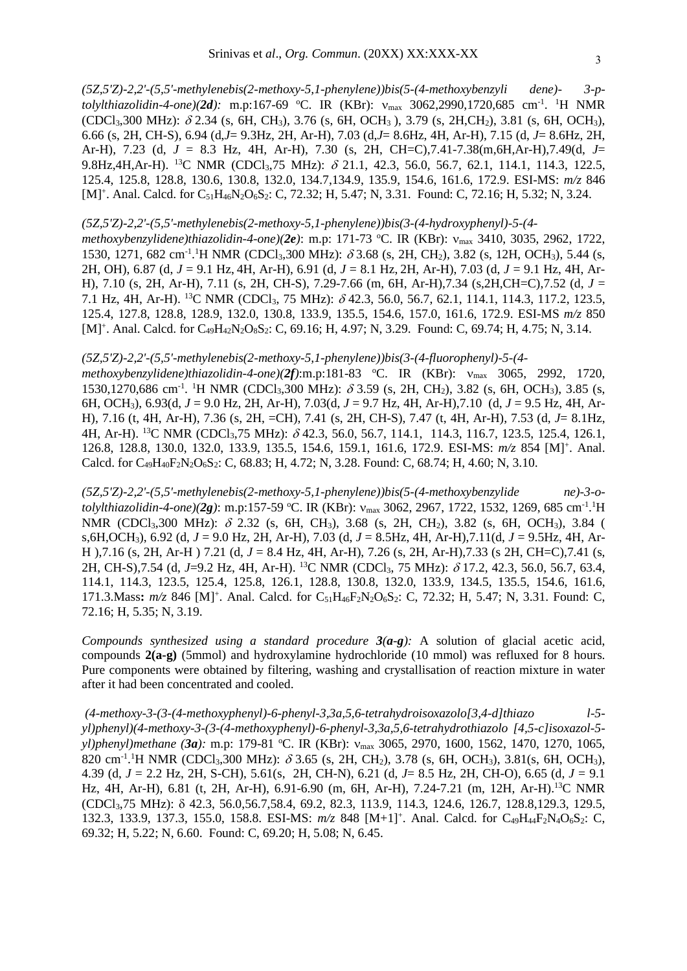*(5Z,5'Z)-2,2'-(5,5'-methylenebis(2-methoxy-5,1-phenylene))bis(5-(4-methoxybenzyli dene)- 3-p*tolylthiazolidin-4-one)(2d): m.p:167-69 °C. IR (KBr): v<sub>max</sub> 3062,2990,1720,685 cm<sup>-1</sup>. <sup>1</sup>H NMR  $(CDCl_3,300 \text{ MHz})$ :  $\delta$  2.34 (s, 6H, CH<sub>3</sub>), 3.76 (s, 6H, OCH<sub>3</sub>), 3.79 (s, 2H,CH<sub>2</sub>), 3.81 (s, 6H, OCH<sub>3</sub>), 6.66 (s, 2H, CH-S), 6.94 (d,*J*= 9.3Hz, 2H, Ar-H), 7.03 (d,*J*= 8.6Hz, 4H, Ar-H), 7.15 (d, *J*= 8.6Hz, 2H, Ar-H), 7.23 (d, *J* = 8.3 Hz, 4H, Ar-H), 7.30 (s, 2H, CH=C),7.41-7.38(m,6H,Ar-H),7.49(d, *J*= 9.8Hz,4H,Ar-H). <sup>13</sup>C NMR (CDCl<sub>3</sub>,75 MHz):  $\delta$  21.1, 42.3, 56.0, 56.7, 62.1, 114.1, 114.3, 122.5, 125.4, 125.8, 128.8, 130.6, 130.8, 132.0, 134.7,134.9, 135.9, 154.6, 161.6, 172.9. ESI-MS: *m/z* 846 [M]<sup>+</sup>. Anal. Calcd. for C<sub>51</sub>H<sub>46</sub>N<sub>2</sub>O<sub>6</sub>S<sub>2</sub>: C, 72.32; H, 5.47; N, 3.31. Found: C, 72.16; H, 5.32; N, 3.24.

#### *(5Z,5'Z)-2,2'-(5,5'-methylenebis(2-methoxy-5,1-phenylene))bis(3-(4-hydroxyphenyl)-5-(4-*

*methoxybenzylidene)thiazolidin-4-one)(2e)*: m.p: 171-73 °C. IR (KBr): v<sub>max</sub> 3410, 3035, 2962, 1722, 1530, 1271, 682 cm<sup>-1</sup>.<sup>1</sup>H NMR (CDCl<sub>3</sub>,300 MHz):  $\delta$  3.68 (s, 2H, CH<sub>2</sub>), 3.82 (s, 12H, OCH<sub>3</sub>), 5.44 (s, 2H, OH), 6.87 (d, *J* = 9.1 Hz, 4H, Ar-H), 6.91 (d, *J* = 8.1 Hz, 2H, Ar-H), 7.03 (d, *J* = 9.1 Hz, 4H, Ar-H), 7.10 (s, 2H, Ar-H), 7.11 (s, 2H, CH-S), 7.29-7.66 (m, 6H, Ar-H),7.34 (s,2H,CH=C),7.52 (d, *J* = 7.1 Hz, 4H, Ar-H). <sup>13</sup>C NMR (CDCl<sub>3</sub>, 75 MHz):  $\delta$  42.3, 56.0, 56.7, 62.1, 114.1, 114.3, 117.2, 123.5, 125.4, 127.8, 128.8, 128.9, 132.0, 130.8, 133.9, 135.5, 154.6, 157.0, 161.6, 172.9. ESI-MS *m/z* 850 [M]<sup>+</sup>. Anal. Calcd. for C<sub>49</sub>H<sub>42</sub>N<sub>2</sub>O<sub>8</sub>S<sub>2</sub>: C, 69.16; H, 4.97; N, 3.29. Found: C, 69.74; H, 4.75; N, 3.14.

#### *(5Z,5'Z)-2,2'-(5,5'-methylenebis(2-methoxy-5,1-phenylene))bis(3-(4-fluorophenyl)-5-(4-*

methoxybenzylidene)thiazolidin-4-one)(2f):m.p:181-83 °C. IR (KBr): v<sub>max</sub> 3065, 2992, 1720, 1530,1270,686 cm<sup>-1</sup>. <sup>1</sup>H NMR (CDCl<sub>3</sub>,300 MHz):  $\delta$  3.59 (s, 2H, CH<sub>2</sub>), 3.82 (s, 6H, OCH<sub>3</sub>), 3.85 (s, 6H, OCH3), 6.93(d, *J* = 9.0 Hz, 2H, Ar-H), 7.03(d, *J* = 9.7 Hz, 4H, Ar-H),7.10 (d, *J* = 9.5 Hz, 4H, Ar-H), 7.16 (t, 4H, Ar-H), 7.36 (s, 2H, =CH), 7.41 (s, 2H, CH-S), 7.47 (t, 4H, Ar-H), 7.53 (d, *J*= 8.1Hz, 4H, Ar-H). <sup>13</sup>C NMR (CDCl<sub>3</sub>,75 MHz):  $\delta$  42.3, 56.0, 56.7, 114.1, 114.3, 116.7, 123.5, 125.4, 126.1, 126.8, 128.8, 130.0, 132.0, 133.9, 135.5, 154.6, 159.1, 161.6, 172.9. ESI-MS: *m/z* 854 [M] + . Anal. Calcd. for C49H40F2N2O6S2: C, 68.83; H, 4.72; N, 3.28. Found: C, 68.74; H, 4.60; N, 3.10.

*(5Z,5'Z)-2,2'-(5,5'-methylenebis(2-methoxy-5,1-phenylene))bis(5-(4-methoxybenzylide ne)-3-otolylthiazolidin-4-one)*(2g): m.p:157-59 °C. IR (KBr): v<sub>max</sub> 3062, 2967, 1722, 1532, 1269, 685 cm<sup>-1</sup>.<sup>1</sup>H NMR (CDCl<sub>3</sub>,300 MHz):  $\delta$  2.32 (s, 6H, CH<sub>3</sub>), 3.68 (s, 2H, CH<sub>2</sub>), 3.82 (s, 6H, OCH<sub>3</sub>), 3.84 ( s,6H,OCH3), 6.92 (d, *J* = 9.0 Hz, 2H, Ar-H), 7.03 (d, *J* = 8.5Hz, 4H, Ar-H),7.11(d, *J* = 9.5Hz, 4H, Ar-H ),7.16 (s, 2H, Ar-H ) 7.21 (d, *J* = 8.4 Hz, 4H, Ar-H), 7.26 (s, 2H, Ar-H),7.33 (s 2H, CH=C),7.41 (s, 2H, CH-S),7.54 (d, J=9.2 Hz, 4H, Ar-H). <sup>13</sup>C NMR (CDCl<sub>3</sub>, 75 MHz):  $\delta$  17.2, 42.3, 56.0, 56.7, 63.4, 114.1, 114.3, 123.5, 125.4, 125.8, 126.1, 128.8, 130.8, 132.0, 133.9, 134.5, 135.5, 154.6, 161.6, 171.3. Mass:  $m/z$  846 [M]<sup>+</sup>. Anal. Calcd. for C<sub>51</sub>H<sub>46</sub>F<sub>2</sub>N<sub>2</sub>O<sub>6</sub>S<sub>2</sub>: C, 72.32; H, 5.47; N, 3.31. Found: C, 72.16; H, 5.35; N, 3.19.

*Compounds synthesized using a standard procedure 3(a-g):* A solution of glacial acetic acid, compounds **2(a-g)** (5mmol) and hydroxylamine hydrochloride (10 mmol) was refluxed for 8 hours. Pure components were obtained by filtering, washing and crystallisation of reaction mixture in water after it had been concentrated and cooled.

*(4-methoxy-3-(3-(4-methoxyphenyl)-6-phenyl-3,3a,5,6-tetrahydroisoxazolo[3,4-d]thiazo l-5 yl)phenyl)(4-methoxy-3-(3-(4-methoxyphenyl)-6-phenyl-3,3a,5,6-tetrahydrothiazolo [4,5-c]isoxazol-5 yl)phenyl)methane* (*3a*): m.p: 179-81 °C. IR (KBr):  $v_{\text{max}}$  3065, 2970, 1600, 1562, 1470, 1270, 1065, 820 cm<sup>-1</sup>.<sup>1</sup>H NMR (CDCl<sub>3</sub>,300 MHz):  $\delta$  3.65 (s, 2H, CH<sub>2</sub>), 3.78 (s, 6H, OCH<sub>3</sub>), 3.81(s, 6H, OCH<sub>3</sub>), 4.39 (d, *J* = 2.2 Hz, 2H, S-CH), 5.61(s, 2H, CH-N), 6.21 (d, *J*= 8.5 Hz, 2H, CH-O), 6.65 (d, *J* = 9.1 Hz, 4H, Ar-H), 6.81 (t, 2H, Ar-H), 6.91-6.90 (m, 6H, Ar-H), 7.24-7.21 (m, 12H, Ar-H). <sup>13</sup>C NMR (CDCl3,75 MHz): 42.3, 56.0,56.7,58.4, 69.2, 82.3, 113.9, 114.3, 124.6, 126.7, 128.8,129.3, 129.5, 132.3, 133.9, 137.3, 155.0, 158.8. ESI-MS:  $m/z$  848 [M+1]<sup>+</sup>. Anal. Calcd. for C<sub>49</sub>H<sub>44</sub>F<sub>2</sub>N<sub>4</sub>O<sub>6</sub>S<sub>2</sub>: C, 69.32; H, 5.22; N, 6.60. Found: C, 69.20; H, 5.08; N, 6.45.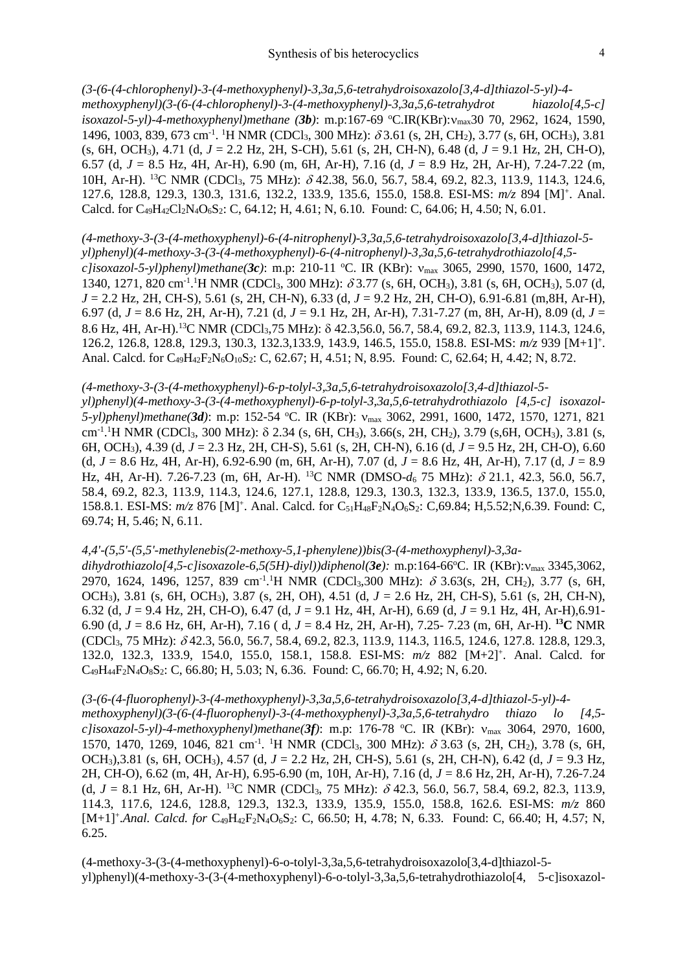*(3-(6-(4-chlorophenyl)-3-(4-methoxyphenyl)-3,3a,5,6-tetrahydroisoxazolo[3,4-d]thiazol-5-yl)-4 methoxyphenyl)(3-(6-(4-chlorophenyl)-3-(4-methoxyphenyl)-3,3a,5,6-tetrahydrot hiazolo[4,5-c] isoxazol-5-yl)-4-methoxyphenyl)methane* (3b): m.p:167-69 °C.IR(KBr): $v_{\text{max}}$ 30 70, 2962, 1624, 1590, 1496, 1003, 839, 673 cm<sup>-1</sup>. <sup>1</sup>H NMR (CDCl<sub>3</sub>, 300 MHz):  $\delta$ 3.61 (s, 2H, CH<sub>2</sub>), 3.77 (s, 6H, OCH<sub>3</sub>), 3.81 (s, 6H, OCH3), 4.71 (d, *J* = 2.2 Hz, 2H, S-CH), 5.61 (s, 2H, CH-N), 6.48 (d, *J* = 9.1 Hz, 2H, CH-O), 6.57 (d, *J* = 8.5 Hz, 4H, Ar-H), 6.90 (m, 6H, Ar-H), 7.16 (d, *J* = 8.9 Hz, 2H, Ar-H), 7.24-7.22 (m, 10H, Ar-H). <sup>13</sup>C NMR (CDCl<sub>3</sub>, 75 MHz):  $\delta$  42.38, 56.0, 56.7, 58.4, 69.2, 82.3, 113.9, 114.3, 124.6, 127.6, 128.8, 129.3, 130.3, 131.6, 132.2, 133.9, 135.6, 155.0, 158.8. ESI-MS: *m/z* 894 [M] + . Anal. Calcd. for C<sub>49</sub>H<sub>42</sub>Cl<sub>2</sub>N<sub>4</sub>O<sub>6</sub>S<sub>2</sub>: C, 64.12; H, 4.61; N, 6.10. Found: C, 64.06; H, 4.50; N, 6.01.

# *(4-methoxy-3-(3-(4-methoxyphenyl)-6-(4-nitrophenyl)-3,3a,5,6-tetrahydroisoxazolo[3,4-d]thiazol-5 yl)phenyl)(4-methoxy-3-(3-(4-methoxyphenyl)-6-(4-nitrophenyl)-3,3a,5,6-tetrahydrothiazolo[4,5-*

*c]isoxazol-5-yl)phenyl)methane(3c)*: m.p: 210-11 <sup>o</sup>C. IR (KBr): max 3065, 2990, 1570, 1600, 1472, 1340, 1271, 820 cm<sup>-1</sup>.<sup>1</sup>H NMR (CDCl<sub>3</sub>, 300 MHz):  $\delta$ 3.77 (s, 6H, OCH<sub>3</sub>), 3.81 (s, 6H, OCH<sub>3</sub>), 5.07 (d, *J* = 2.2 Hz, 2H, CH-S), 5.61 (s, 2H, CH-N), 6.33 (d, *J* = 9.2 Hz, 2H, CH-O), 6.91-6.81 (m,8H, Ar-H), 6.97 (d, *J* = 8.6 Hz, 2H, Ar-H), 7.21 (d, *J* = 9.1 Hz, 2H, Ar-H), 7.31-7.27 (m, 8H, Ar-H), 8.09 (d, *J* = 8.6 Hz, 4H, Ar-H).<sup>13</sup>C NMR (CDCl<sub>3</sub>,75 MHz):  $\delta$  42.3,56.0, 56.7, 58.4, 69.2, 82.3, 113.9, 114.3, 124.6, 126.2, 126.8, 128.8, 129.3, 130.3, 132.3,133.9, 143.9, 146.5, 155.0, 158.8. ESI-MS: *m/z* 939 [M+1] + . Anal. Calcd. for C<sub>49</sub>H<sub>42</sub>F<sub>2</sub>N<sub>6</sub>O<sub>10</sub>S<sub>2</sub>: C, 62.67; H, 4.51; N, 8.95. Found: C, 62.64; H, 4.42; N, 8.72.

# *(4-methoxy-3-(3-(4-methoxyphenyl)-6-p-tolyl-3,3a,5,6-tetrahydroisoxazolo[3,4-d]thiazol-5-*

*yl)phenyl)(4-methoxy-3-(3-(4-methoxyphenyl)-6-p-tolyl-3,3a,5,6-tetrahydrothiazolo [4,5-c] isoxazol-5-yl)phenyl)methane(3d)*: m.p: 152-54 <sup>o</sup>C. IR (KBr): max 3062, 2991, 1600, 1472, 1570, 1271, 821 cm<sup>-1</sup>.<sup>1</sup>H NMR (CDCl<sub>3</sub>, 300 MHz): δ 2.34 (s, 6H, CH<sub>3</sub>), 3.66(s, 2H, CH<sub>2</sub>), 3.79 (s, 6H, OCH<sub>3</sub>), 3.81 (s, 6H, OCH3), 4.39 (d, *J* = 2.3 Hz, 2H, CH-S), 5.61 (s, 2H, CH-N), 6.16 (d, *J* = 9.5 Hz, 2H, CH-O), 6.60 (d, *J* = 8.6 Hz, 4H, Ar-H), 6.92-6.90 (m, 6H, Ar-H), 7.07 (d, *J* = 8.6 Hz, 4H, Ar-H), 7.17 (d, *J* = 8.9 Hz, 4H, Ar-H). 7.26-7.23 (m, 6H, Ar-H). <sup>13</sup>C NMR (DMSO- $d_6$  75 MHz):  $\delta$  21.1, 42.3, 56.0, 56.7, 58.4, 69.2, 82.3, 113.9, 114.3, 124.6, 127.1, 128.8, 129.3, 130.3, 132.3, 133.9, 136.5, 137.0, 155.0, 158.8.1. ESI-MS:  $m/z$  876 [M]<sup>+</sup>. Anal. Calcd. for C<sub>51</sub>H<sub>48</sub>F<sub>2</sub>N<sub>4</sub>O<sub>6</sub>S<sub>2</sub>: C,69.84; H,5.52;N,6.39. Found: C, 69.74; H, 5.46; N, 6.11.

## *4,4'-(5,5'-(5,5'-methylenebis(2-methoxy-5,1-phenylene))bis(3-(4-methoxyphenyl)-3,3a-*

*dihydrothiazolo[4,5-c]isoxazole-6,5(5H)-diyl))diphenol(3e):* m.p:164-66<sup>o</sup>C. IR (KBr):max 3345,3062, 2970, 1624, 1496, 1257, 839 cm<sup>-1</sup>.<sup>1</sup>H NMR (CDCl<sub>3</sub>,300 MHz):  $\delta$  3.63(s, 2H, CH<sub>2</sub>), 3.77 (s, 6H, OCH3), 3.81 (s, 6H, OCH3), 3.87 (s, 2H, OH), 4.51 (d, *J* = 2.6 Hz, 2H, CH-S), 5.61 (s, 2H, CH-N), 6.32 (d, *J* = 9.4 Hz, 2H, CH-O), 6.47 (d, *J* = 9.1 Hz, 4H, Ar-H), 6.69 (d, *J* = 9.1 Hz, 4H, Ar-H),6.91- 6.90 (d, *J* = 8.6 Hz, 6H, Ar-H), 7.16 ( d, *J* = 8.4 Hz, 2H, Ar-H), 7.25- 7.23 (m, 6H, Ar-H). **<sup>13</sup>C** NMR (CDCl3, 75 MHz): 42.3, 56.0, 56.7, 58.4, 69.2, 82.3, 113.9, 114.3, 116.5, 124.6, 127.8. 128.8, 129.3, 132.0, 132.3, 133.9, 154.0, 155.0, 158.1, 158.8. ESI-MS: *m/z* 882 [M+2]<sup>+</sup> . Anal. Calcd. for C49H44F2N4O8S2: C, 66.80; H, 5.03; N, 6.36. Found: C, 66.70; H, 4.92; N, 6.20.

## *(3-(6-(4-fluorophenyl)-3-(4-methoxyphenyl)-3,3a,5,6-tetrahydroisoxazolo[3,4-d]thiazol-5-yl)-4-*

*methoxyphenyl)(3-(6-(4-fluorophenyl)-3-(4-methoxyphenyl)-3,3a,5,6-tetrahydro thiazo lo [4,5 c]isoxazol-5-yl)-4-methoxyphenyl)methane(3f)*: m.p: 176-78 <sup>o</sup>C. IR (KBr): max 3064, 2970, 1600, 1570, 1470, 1269, 1046, 821 cm<sup>-1</sup>. <sup>1</sup>H NMR (CDCl<sub>3</sub>, 300 MHz):  $\delta$  3.63 (s, 2H, CH<sub>2</sub>), 3.78 (s, 6H, OCH3),3.81 (s, 6H, OCH3), 4.57 (d, *J* = 2.2 Hz, 2H, CH-S), 5.61 (s, 2H, CH-N), 6.42 (d, *J* = 9.3 Hz, 2H, CH-O), 6.62 (m, 4H, Ar-H), 6.95-6.90 (m, 10H, Ar-H), 7.16 (d, *J* = 8.6 Hz, 2H, Ar-H), 7.26-7.24 (d,  $J = 8.1$  Hz, 6H, Ar-H). <sup>13</sup>C NMR (CDCl<sub>3</sub>, 75 MHz):  $\delta$  42.3, 56.0, 56.7, 58.4, 69.2, 82.3, 113.9, 114.3, 117.6, 124.6, 128.8, 129.3, 132.3, 133.9, 135.9, 155.0, 158.8, 162.6. ESI-MS: *m/z* 860 [M+1]<sup>+</sup>.Anal. Calcd. for C<sub>49</sub>H<sub>42</sub>F<sub>2</sub>N<sub>4</sub>O<sub>6</sub>S<sub>2</sub>: C, 66.50; H, 4.78; N, 6.33. Found: C, 66.40; H, 4.57; N, 6.25.

(4-methoxy-3-(3-(4-methoxyphenyl)-6-o-tolyl-3,3a,5,6-tetrahydroisoxazolo[3,4-d]thiazol-5 yl)phenyl)(4-methoxy-3-(3-(4-methoxyphenyl)-6-o-tolyl-3,3a,5,6-tetrahydrothiazolo[4, 5-c]isoxazol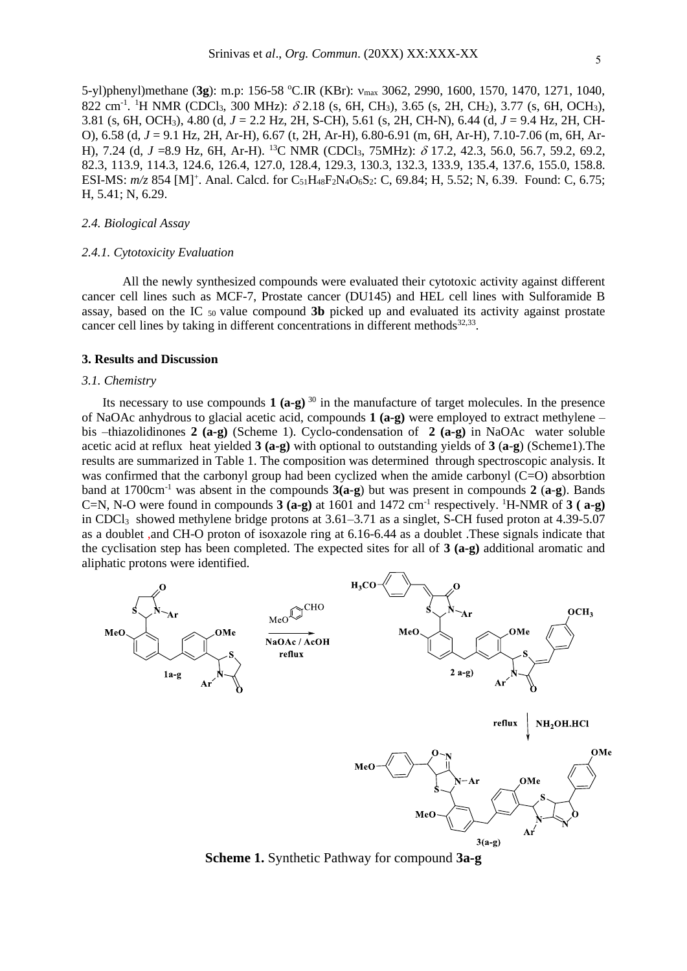5-yl)phenyl)methane (3g): m.p: 156-58 °C.IR (KBr): v<sub>max</sub> 3062, 2990, 1600, 1570, 1470, 1271, 1040, 822 cm<sup>-1</sup>. <sup>1</sup>H NMR (CDCl<sub>3</sub>, 300 MHz):  $\delta$  2.18 (s, 6H, CH<sub>3</sub>), 3.65 (s, 2H, CH<sub>2</sub>), 3.77 (s, 6H, OCH<sub>3</sub>), 3.81 (s, 6H, OCH3), 4.80 (d, *J* = 2.2 Hz, 2H, S-CH), 5.61 (s, 2H, CH-N), 6.44 (d*, J* = 9.4 Hz, 2H, CH-O), 6.58 (d, *J* = 9.1 Hz, 2H, Ar-H), 6.67 (t, 2H, Ar-H), 6.80-6.91 (m, 6H, Ar-H), 7.10-7.06 (m, 6H, Ar-H), 7.24 (d, J =8.9 Hz, 6H, Ar-H). <sup>13</sup>C NMR (CDCl<sub>3</sub>, 75MHz):  $\delta$  17.2, 42.3, 56.0, 56.7, 59.2, 69.2, 82.3, 113.9, 114.3, 124.6, 126.4, 127.0, 128.4, 129.3, 130.3, 132.3, 133.9, 135.4, 137.6, 155.0, 158.8. ESI-MS:  $m/z$  854 [M]<sup>+</sup>. Anal. Calcd. for C<sub>51</sub>H<sub>48</sub>F<sub>2</sub>N<sub>4</sub>O<sub>6</sub>S<sub>2</sub>: C, 69.84; H, 5.52; N, 6.39. Found: C, 6.75; H, 5.41; N, 6.29.

## *2.4. Biological Assay*

#### *2.4.1. Cytotoxicity Evaluation*

All the newly synthesized compounds were evaluated their cytotoxic activity against different cancer cell lines such as MCF-7, Prostate cancer (DU145) and HEL cell lines with Sulforamide B assay, based on the IC 50 value compound **3b** picked up and evaluated its activity against prostate cancer cell lines by taking in different concentrations in different methods $32,33$ .

#### **3. Results and Discussion**

#### *3.1. Chemistry*

Its necessary to use compounds  $1 (a-g)^{30}$  in the manufacture of target molecules. In the presence of NaOAc anhydrous to glacial acetic acid, compounds **1 (a-g)** were employed to extract methylene – bis –thiazolidinones **2 (a-g)** (Scheme 1). Cyclo-condensation of **2 (a-g)** in NaOAc water soluble acetic acid at reflux heat yielded **3 (a-g)** with optional to outstanding yields of **3** (**a**-**g**) (Scheme1).The results are summarized in Table 1. The composition was determined through spectroscopic analysis. It was confirmed that the carbonyl group had been cyclized when the amide carbonyl (C=O) absorbtion band at 1700cm-1 was absent in the compounds **3(a-g**) but was present in compounds **2** (**a**-**g**). Bands C=N, N-O were found in compounds  $3$  (a-g) at 1601 and 1472 cm<sup>-1</sup> respectively. <sup>1</sup>H-NMR of  $3$  (a-g) in CDCl3 showed methylene bridge protons at 3.61–3.71 as a singlet, S-CH fused proton at 4.39-5.07 as a doublet ,and CH-O proton of isoxazole ring at 6.16-6.44 as a doublet .These signals indicate that the cyclisation step has been completed. The expected sites for all of **3 (a-g)** additional aromatic and aliphatic protons were identified.



**Scheme 1.** Synthetic Pathway for compound **3a-g**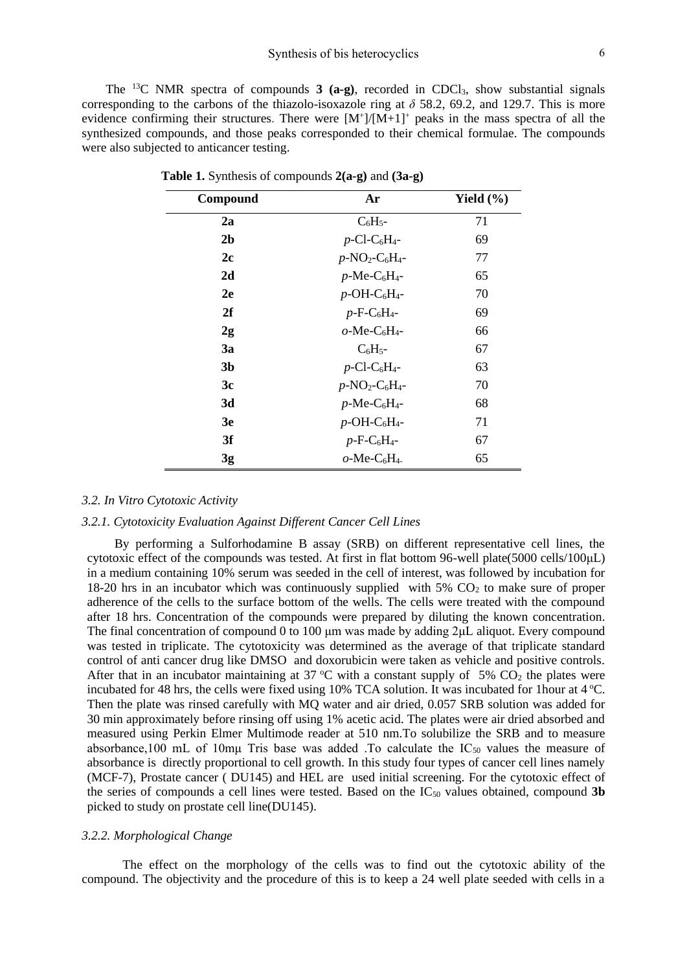The <sup>13</sup>C NMR spectra of compounds **3 (a-g)**, recorded in CDCl3, show substantial signals corresponding to the carbons of the thiazolo-isoxazole ring at  $\delta$  58.2, 69.2, and 129.7. This is more evidence confirming their structures. There were  $[M^+]/[M+1]^+$  peaks in the mass spectra of all the synthesized compounds, and those peaks corresponded to their chemical formulae. The compounds were also subjected to anticancer testing.

| Compound       | Ar                                                    | Yield $(\% )$ |  |
|----------------|-------------------------------------------------------|---------------|--|
| 2a             | $C_6H_5$ -                                            | 71            |  |
| 2 <sub>b</sub> | $p$ -Cl-C <sub>6</sub> H <sub>4</sub> -               | 69            |  |
| 2c             | $p$ -NO <sub>2</sub> -C <sub>6</sub> H <sub>4</sub> - | 77            |  |
| 2d             | $p$ -Me-C <sub>6</sub> H <sub>4</sub> -               | 65            |  |
| 2e             | $p$ -OH-C <sub>6</sub> H <sub>4</sub> -               | 70            |  |
| 2f             | $p$ -F-C <sub>6</sub> H <sub>4</sub> -                | 69            |  |
| 2g             | $o$ -Me-C <sub>6</sub> H <sub>4</sub> -               | 66            |  |
| <b>3a</b>      | $C_6H_5$ -                                            | 67            |  |
| 3b             | $p$ -Cl-C <sub>6</sub> H <sub>4</sub> -               | 63            |  |
| 3c             | $p$ -NO <sub>2</sub> -C <sub>6</sub> H <sub>4</sub> - | 70            |  |
| 3d             | $p$ -Me-C <sub>6</sub> H <sub>4</sub> -               | 68            |  |
| 3e             | $p$ -OH-C <sub>6</sub> H <sub>4</sub> -               | 71            |  |
| 3f             | $p$ -F-C <sub>6</sub> H <sub>4</sub> -                | 67            |  |
| 3g             | $o$ -Me-C <sub>6</sub> H <sub>4</sub> -               | 65            |  |

 **Table 1.** Synthesis of compounds **2(a-g)** and **(3a-g)**

## *3.2. In Vitro Cytotoxic Activity*

# *3.2.1. Cytotoxicity Evaluation Against Different Cancer Cell Lines*

By performing a Sulforhodamine B assay (SRB) on different representative cell lines, the cytotoxic effect of the compounds was tested. At first in flat bottom 96-well plate(5000 cells/100μL) in a medium containing 10% serum was seeded in the cell of interest, was followed by incubation for 18-20 hrs in an incubator which was continuously supplied with  $5\%$  CO<sub>2</sub> to make sure of proper adherence of the cells to the surface bottom of the wells. The cells were treated with the compound after 18 hrs. Concentration of the compounds were prepared by diluting the known concentration. The final concentration of compound 0 to 100 μm was made by adding 2μL aliquot. Every compound was tested in triplicate. The cytotoxicity was determined as the average of that triplicate standard control of anti cancer drug like DMSO and doxorubicin were taken as vehicle and positive controls. After that in an incubator maintaining at 37 °C with a constant supply of 5%  $CO<sub>2</sub>$  the plates were incubated for 48 hrs, the cells were fixed using 10% TCA solution. It was incubated for 1 hour at  $4^{\circ}$ C. Then the plate was rinsed carefully with MQ water and air dried, 0.057 SRB solution was added for 30 min approximately before rinsing off using 1% acetic acid. The plates were air dried absorbed and measured using Perkin Elmer Multimode reader at 510 nm.To solubilize the SRB and to measure absorbance,100 mL of 10mµ Tris base was added .To calculate the  $IC_{50}$  values the measure of absorbance is directly proportional to cell growth. In this study four types of cancer cell lines namely (MCF-7), Prostate cancer ( DU145) and HEL are used initial screening. For the cytotoxic effect of the series of compounds a cell lines were tested. Based on the  $IC_{50}$  values obtained, compound 3b picked to study on prostate cell line(DU145).

## *3.2.2. Morphological Change*

The effect on the morphology of the cells was to find out the cytotoxic ability of the compound. The objectivity and the procedure of this is to keep a 24 well plate seeded with cells in a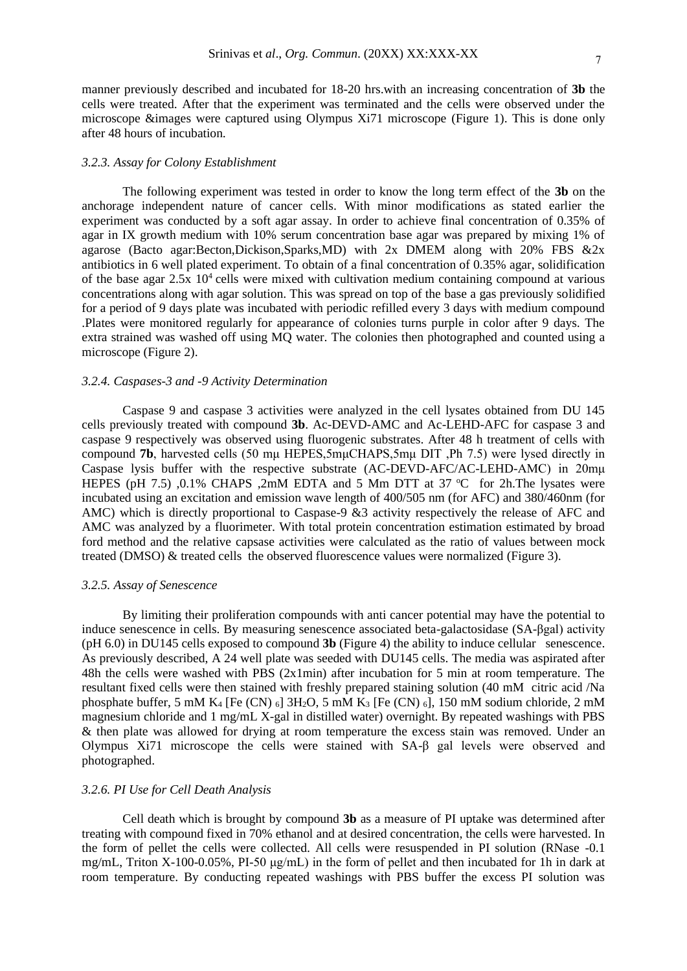manner previously described and incubated for 18-20 hrs.with an increasing concentration of **3b** the cells were treated. After that the experiment was terminated and the cells were observed under the microscope &images were captured using Olympus Xi71 microscope (Figure 1). This is done only after 48 hours of incubation.

#### *3.2.3. Assay for Colony Establishment*

The following experiment was tested in order to know the long term effect of the **3b** on the anchorage independent nature of cancer cells. With minor modifications as stated earlier the experiment was conducted by a soft agar assay. In order to achieve final concentration of 0.35% of agar in IX growth medium with 10% serum concentration base agar was prepared by mixing 1% of agarose (Bacto agar:Becton,Dickison,Sparks,MD) with 2x DMEM along with 20% FBS &2x antibiotics in 6 well plated experiment. To obtain of a final concentration of 0.35% agar, solidification of the base agar  $2.5x$  10<sup>4</sup> cells were mixed with cultivation medium containing compound at various concentrations along with agar solution. This was spread on top of the base a gas previously solidified for a period of 9 days plate was incubated with periodic refilled every 3 days with medium compound .Plates were monitored regularly for appearance of colonies turns purple in color after 9 days. The extra strained was washed off using MQ water. The colonies then photographed and counted using a microscope (Figure 2).

## *3.2.4. Caspases-3 and -9 Activity Determination*

Caspase 9 and caspase 3 activities were analyzed in the cell lysates obtained from DU 145 cells previously treated with compound **3b**. Ac-DEVD-AMC and Ac-LEHD-AFC for caspase 3 and caspase 9 respectively was observed using fluorogenic substrates. After 48 h treatment of cells with compound **7b**, harvested cells (50 mμ HEPES,5mμCHAPS,5mμ DIT ,Ph 7.5) were lysed directly in Caspase lysis buffer with the respective substrate (AC-DEVD-AFC/AC-LEHD-AMC) in 20mμ HEPES (pH 7.5) ,0.1% CHAPS ,2mM EDTA and 5 Mm DTT at 37  $^{\circ}$ C for 2h. The lysates were incubated using an excitation and emission wave length of 400/505 nm (for AFC) and 380/460nm (for AMC) which is directly proportional to Caspase-9 &3 activity respectively the release of AFC and AMC was analyzed by a fluorimeter. With total protein concentration estimation estimated by broad ford method and the relative capsase activities were calculated as the ratio of values between mock treated (DMSO) & treated cells the observed fluorescence values were normalized (Figure 3).

## *3.2.5. Assay of Senescence*

By limiting their proliferation compounds with anti cancer potential may have the potential to induce senescence in cells. By measuring senescence associated beta-galactosidase (SA-βgal) activity (pH 6.0) in DU145 cells exposed to compound **3b** (Figure 4) the ability to induce cellular senescence. As previously described, A 24 well plate was seeded with DU145 cells. The media was aspirated after 48h the cells were washed with PBS (2x1min) after incubation for 5 min at room temperature. The resultant fixed cells were then stained with freshly prepared staining solution (40 mM citric acid /Na phosphate buffer, 5 mM K<sub>4</sub> [Fe (CN)  $_6$ ] 3H<sub>2</sub>O, 5 mM K<sub>3</sub> [Fe (CN)  $_6$ ], 150 mM sodium chloride, 2 mM magnesium chloride and 1 mg/mL X-gal in distilled water) overnight. By repeated washings with PBS & then plate was allowed for drying at room temperature the excess stain was removed. Under an Olympus Xi71 microscope the cells were stained with SA-β gal levels were observed and photographed.

## *3.2.6. PI Use for Cell Death Analysis*

Cell death which is brought by compound **3b** as a measure of PI uptake was determined after treating with compound fixed in 70% ethanol and at desired concentration, the cells were harvested. In the form of pellet the cells were collected. All cells were resuspended in PI solution (RNase -0.1 mg/mL, Triton X-100-0.05%, PI-50 μg/mL) in the form of pellet and then incubated for 1h in dark at room temperature. By conducting repeated washings with PBS buffer the excess PI solution was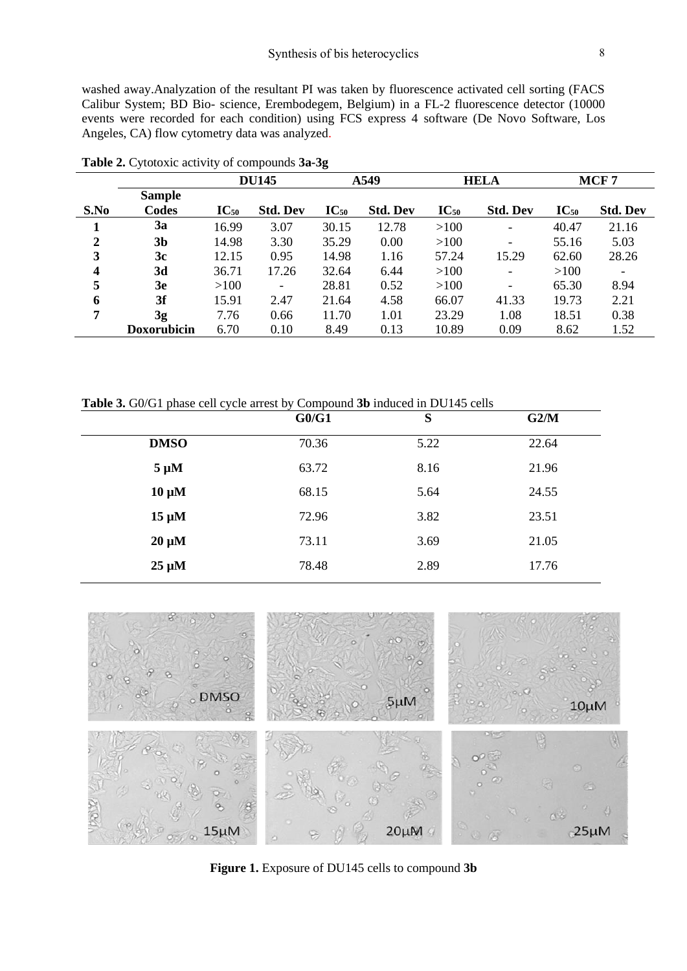washed away.Analyzation of the resultant PI was taken by fluorescence activated cell sorting (FACS Calibur System; BD Bio- science, Erembodegem, Belgium) in a FL-2 fluorescence detector (10000 events were recorded for each condition) using FCS express 4 software (De Novo Software, Los Angeles, CA) flow cytometry data was analyzed.

|      |                    |           | <b>DU145</b>             |           | A549            |           | <b>HELA</b>              |           | MCF <sub>7</sub>         |
|------|--------------------|-----------|--------------------------|-----------|-----------------|-----------|--------------------------|-----------|--------------------------|
|      | <b>Sample</b>      |           |                          |           |                 |           |                          |           |                          |
| S.No | Codes              | $IC_{50}$ | <b>Std. Dev</b>          | $IC_{50}$ | <b>Std. Dev</b> | $IC_{50}$ | <b>Std. Dev</b>          | $IC_{50}$ | <b>Std. Dev</b>          |
|      | 3a                 | 16.99     | 3.07                     | 30.15     | 12.78           | >100      | Ξ.                       | 40.47     | 21.16                    |
| 2    | 3b                 | 14.98     | 3.30                     | 35.29     | 0.00            | >100      |                          | 55.16     | 5.03                     |
| 3    | 3c                 | 12.15     | 0.95                     | 14.98     | 1.16            | 57.24     | 15.29                    | 62.60     | 28.26                    |
| 4    | 3d                 | 36.71     | 17.26                    | 32.64     | 6.44            | >100      | $\overline{\phantom{a}}$ | >100      | $\overline{\phantom{a}}$ |
| 5    | 3e                 | >100      | $\overline{\phantom{a}}$ | 28.81     | 0.52            | >100      | Ξ.                       | 65.30     | 8.94                     |
| 6    | 3f                 | 15.91     | 2.47                     | 21.64     | 4.58            | 66.07     | 41.33                    | 19.73     | 2.21                     |
| 7    | 3g                 | 7.76      | 0.66                     | 11.70     | 1.01            | 23.29     | 1.08                     | 18.51     | 0.38                     |
|      | <b>Doxorubicin</b> | 6.70      | 0.10                     | 8.49      | 0.13            | 10.89     | 0.09                     | 8.62      | 1.52                     |

**Table 2.** Cytotoxic activity of compounds **3a-3g**

**Table 3.** G0/G1 phase cell cycle arrest by Compound **3b** induced in DU145 cells

|             | G0/G1 | S    | G2/M  |
|-------------|-------|------|-------|
| <b>DMSO</b> | 70.36 | 5.22 | 22.64 |
| $5 \mu M$   | 63.72 | 8.16 | 21.96 |
| $10 \mu M$  | 68.15 | 5.64 | 24.55 |
| $15 \mu M$  | 72.96 | 3.82 | 23.51 |
| $20 \mu M$  | 73.11 | 3.69 | 21.05 |
| $25 \mu M$  | 78.48 | 2.89 | 17.76 |



**Figure 1.** Exposure of DU145 cells to compound **3b**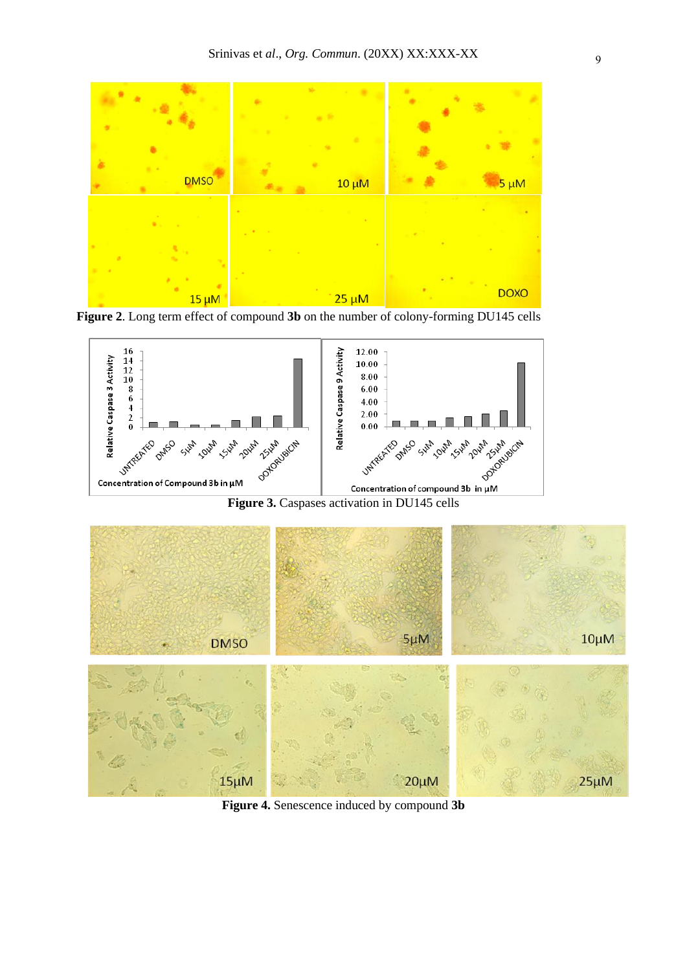

**Figure 2**. Long term effect of compound **3b** on the number of colony-forming DU145 cells



**Figure 3.** Caspases activation in DU145 cells



**Figure 4.** Senescence induced by compound **3b**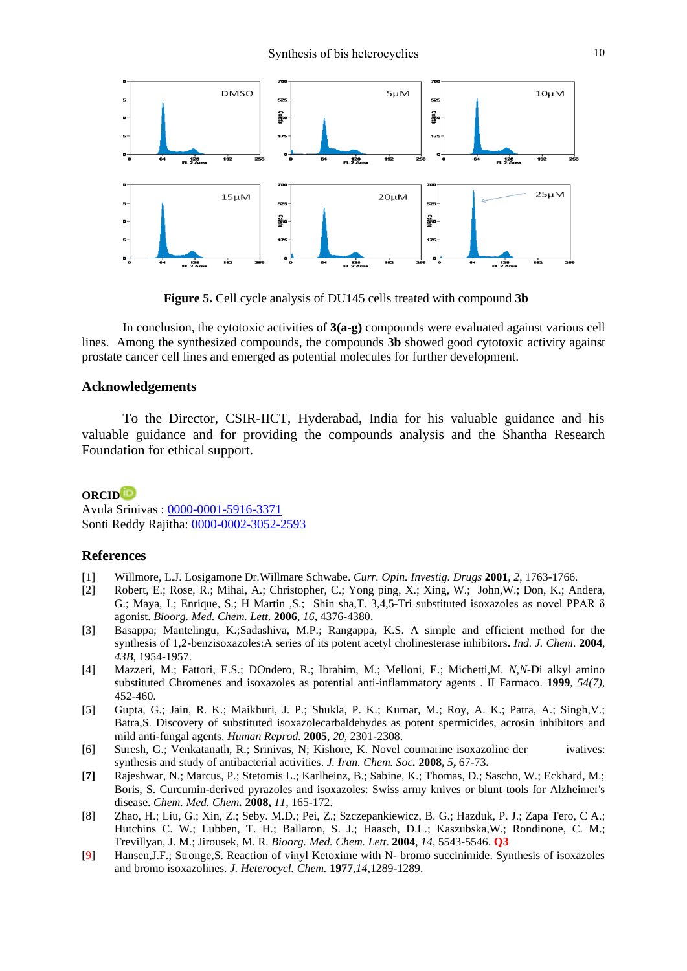

**Figure 5.** Cell cycle analysis of DU145 cells treated with compound **3b**

In conclusion, the cytotoxic activities of **3(a-g)** compounds were evaluated against various cell lines. Among the synthesized compounds, the compounds **3b** showed good cytotoxic activity against prostate cancer cell lines and emerged as potential molecules for further development.

# **Acknowledgements**

To the Director, CSIR-IICT, Hyderabad, India for his valuable guidance and his valuable guidance and for providing the compounds analysis and the Shantha Research Foundation for ethical support.

# **ORCID**

Avula Srinivas : [0000-0001-5916-3371](https://orcid.org/0000-0001-5916-3371) Sonti Reddy Rajitha: [0000-0002-3052-2593](https://orcid.org/0000-0002-3052-2593)

## **References**

- [1] Willmore, L.J. Losigamone Dr.Willmare Schwabe. *Curr. Opin. Investig. Drugs* **2001**, *2*, 1763-1766.
- [2] Robert, E.; Rose, R.; Mihai, A.; Christopher, C.; Yong ping, X.; Xing, W.; John,W.; Don, K.; Andera, G.; Maya, I.; Enrique, S.; H Martin ,S.; Shin sha,T. 3,4,5-Tri substituted isoxazoles as novel PPAR δ agonist. *Bioorg. Med. Chem. Lett*. **2006**, *16*, 4376-4380.
- [3] Basappa; Mantelingu, K.;Sadashiva, M.P.; Rangappa, K.S. [A simple and efficient method for the](http://nopr.niscair.res.in/handle/123456789/21328)  [synthesis of 1,2-benzisoxazoles:A series of its potent acetyl](http://nopr.niscair.res.in/handle/123456789/21328) cholinesterase inhibitors**.** *Ind. J. Chem*. **2004**, *43B*, 1954-1957.
- [4] Mazzeri, M.; Fattori, E.S.; DOndero, R.; Ibrahim, M.; Melloni, E.; Michetti,M. *N,N*-Di alkyl amino substituted Chromenes and isoxazoles as potential anti-inflammatory agents . II Farmaco. **1999**, *54(7)*, 452-460.
- [5] Gupta, G.; Jain, R. K.; Maikhuri, J. P.; Shukla, P. K.; Kumar, M.; Roy, A. K.; Patra, A.; Singh,V.; Batra,S. Discovery of substituted isoxazolecarbaldehydes as potent spermicides, acrosin inhibitors and mild anti-fungal agents. *Human Reprod.* **2005**, *20*, 2301-2308.
- [6] Suresh, G.; Venkatanath, R.; Srinivas, N; Kishore, K. Novel coumarine isoxazoline der ivatives: synthesis and study of antibacterial activities. *J. Iran. Chem. Soc.* **2008,** *5***,** 67-73**.**
- **[7]** Rajeshwar, N.; Marcus, P.; Stetomis L.; Karlheinz, B.; Sabine, K.; Thomas, D.; Sascho, W.; Eckhard, M.; Boris, S. Curcumin-derived pyrazoles and isoxazoles: Swiss army knives or blunt tools for Alzheimer's disease. *Chem. Med. Chem.* **2008,** *11*, 165-172.
- [8] Zhao, H.; Liu, G.; Xin, Z.; Seby. M.D.; Pei, Z.; Szczepankiewicz, B. G.; Hazduk, P. J.; Zapa Tero, C A.; Hutchins C. W.; Lubben, T. H.; Ballaron, S. J.; Haasch, D.L.; Kaszubska,W.; Rondinone, C. M.; Trevillyan, J. M.; Jirousek, M. R. *Bioorg. Med. Chem. Lett*. **2004**, *14*, 5543-5546. **Q3**
- [9] Hansen,J.F.; Stronge,S. Reaction of vinyl Ketoxime with N- bromo succinimide. Synthesis of isoxazoles and bromo isoxazolines. *J. Heterocycl. Chem.* **1977**,*14*,1289-1289.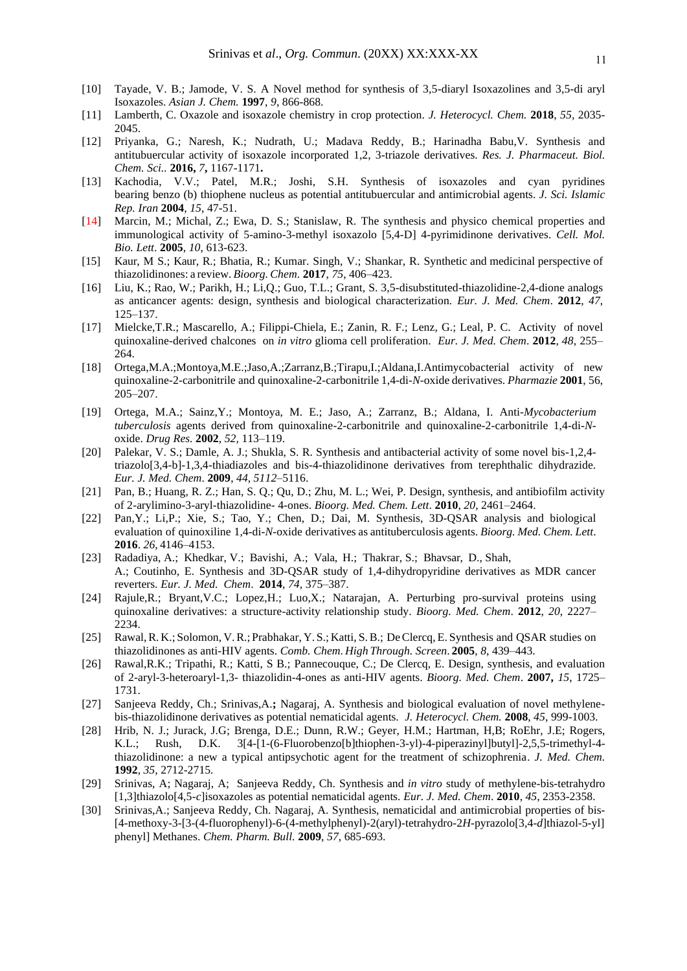- [10] Tayade, V. B.; Jamode, V. S. A Novel method for synthesis of 3,5-diaryl Isoxazolines and 3,5-di aryl Isoxazoles. *Asian J. Chem.* **1997**, *9*, 866-868.
- [11] Lamberth, C. Oxazole and isoxazole chemistry in crop protection. *J. Heterocycl. Chem.* **2018**, *55,* 2035- 2045.
- [12] Priyanka, G.; Naresh, K.; Nudrath, U.; Madava Reddy, B.; Harinadha Babu,V. Synthesis and antitubuercular activity of isoxazole incorporated 1,2, 3-triazole derivatives. *Res. J. Pharmaceut. Biol. Chem. Sci..* **2016,** *7***,** 1167-1171**.**
- [13] Kachodia, V.V.; Patel, M.R.; Joshi, S.H. Synthesis of isoxazoles and cyan pyridines bearing benzo (b) thiophene nucleus as potential antitubuercular and antimicrobial agents. *J. Sci. Islamic Rep. Iran* **2004**, *15*, 47-51.
- [14] Marcin, M.; Michal, Z.; Ewa, D. S.; Stanislaw, R. The synthesis and physico chemical properties and immunological activity of 5-amino-3-methyl isoxazolo [5,4-D] 4-pyrimidinone derivatives. *Cell. Mol. Bio. Lett*. **2005**, *10*, 613-623.
- [15] Kaur, M S.; Kaur, R.; Bhatia, R.; Kumar. Singh, V.; Shankar, R. Synthetic and medicinal perspective of thiazolidinones: a review. *Bioorg. Chem*. **2017**, *75*, 406–423.
- [16] Liu, K.; Rao, W.; Parikh, H.; Li,Q.; Guo, T.L.; Grant, S. 3,5-disubstituted-thiazolidine-2,4-dione analogs as anticancer agents: design, synthesis and biological characterization. *Eur. J. Med. Chem*. **2012**, *47*, 125–137.
- [17] Mielcke,T.R.; Mascarello, A.; Filippi-Chiela, E.; Zanin, R. F.; Lenz, G.; Leal, P. C. Activity of novel quinoxaline-derived chalcones on *in vitro* glioma cell proliferation. *Eur. J. Med. Chem*. **2012**, *48*, 255– 264.
- [18] Ortega,M.A.;Montoya,M.E.;Jaso,A.;Zarranz,B.;Tirapu,I.;Aldana,I.Antimycobacterial activity of new quinoxaline-2-carbonitrile and quinoxaline-2-carbonitrile 1,4-di-*N*-oxide derivatives. *Pharmazie* **2001**, 56, 205–207.
- [19] Ortega, M.A.; Sainz,Y.; Montoya, M. E.; Jaso, A.; Zarranz, B.; Aldana, I. Anti-*Mycobacterium tuberculosis* agents derived from quinoxaline-2-carbonitrile and quinoxaline-2-carbonitrile 1,4-di-*N*oxide. *Drug Res.* **2002**, *52,* 113–119.
- [20] Palekar, V. S.; Damle, A. J.; Shukla, S. R. Synthesis and antibacterial activity of some novel bis-1,2,4 triazolo[3,4-b]-1,3,4-thiadiazoles and bis-4-thiazolidinone derivatives from terephthalic dihydrazide. *Eur. J. Med. Chem*. **2009**, *44, 5112*–5116.
- [21] Pan, B.; Huang, R. Z.; Han, S. Q.; Qu, D.; Zhu, M. L.; Wei, P. Design, synthesis, and antibiofilm activity of 2-arylimino-3-aryl-thiazolidine- 4-ones. *[Bioorg. Med. Chem. Lett](https://doi.org/10.1016/j.bmcl.2010.03.013)*. **2010**, *20*, 2461–2464.
- [22] Pan,Y.; Li,P.; Xie, S.; Tao, Y.; Chen, D.; Dai, M. Synthesis, 3D-QSAR analysis and biological evaluation of quinoxiline 1,4-di-*N*-oxide derivatives as antituberculosis agents. *Bioorg. Med. Chem. Lett*. **2016**. *26*, 4146–4153.
- [23] Radadiya, A.; Khedkar, V.; Bavishi, A.; Vala, H.; Thakrar, S.; Bhavsar, D., Shah, A.; Coutinho, E. Synthesis and 3D-QSAR study of 1,4-dihydropyridine derivatives as MDR cancer reverters. *Eur. J. Med. Chem*. **2014**, *74,* 375–387.
- [24] Rajule,R.; Bryant,V.C.; Lopez,H.; Luo,X.; Natarajan, A. Perturbing pro-survival proteins using quinoxaline derivatives: a structure-activity relationship study. *Bioorg. Med. Chem*. **2012**, *20*, 2227– 2234.
- [25] Rawal,R. K.; Solomon, V.R.; Prabhakar, Y. S.; Katti, S.B.; DeClercq, E. Synthesis and QSAR studies on thiazolidinones as anti-HIV agents. *Comb. Chem. High Through. Screen*. **2005**, *8*, 439–443.
- [26] Rawal,R.K.; Tripathi, R.; Katti, S B.; Pannecouque, C.; De Clercq, E. Design, synthesis, and evaluation of 2-aryl-3-heteroaryl-1,3- thiazolidin-4-ones as anti-HIV agents. *Bioorg. Med. Chem*. **2007,** *15*, 1725– 1731.
- [27] Sanjeeva Reddy, Ch.; Srinivas,A.**;** Nagaraj, A. Synthesis and biological evaluation of novel methylenebis-thiazolidinone derivatives as potential nematicidal agents. *J. Heterocycl. Chem.* **2008**, *45*, 999-1003.
- [28] Hrib, N. J.; Jurack, J.G; Brenga, D.E.; Dunn, R.W.; Geyer, H.M.; Hartman, H,B; RoEhr, J.E; Rogers, K.L.; Rush, D.K. [3\[4-\[1-\(6-Fluorobenzo\[b\]thiophen-3-yl\)-4-piperazinyl\]butyl\]-2,5,5-trimethyl-4](https://pubs.acs.org/doi/10.1021/jm00092a024) [thiazolidinone: a new a typical antipsychotic agent for the treatment of schizophrenia.](https://pubs.acs.org/doi/10.1021/jm00092a024) *J. Med. Chem.*  **1992***, 35,* 2712-2715*.*
- [29] Srinivas, A; Nagaraj, A; Sanjeeva Reddy, Ch. Synthesis and *in vitro* study of methylene-bis-tetrahydro [1,3]thiazolo[4,5-*c*]isoxazoles as potential nematicidal agents. *Eur. J. Med. Chem*. **2010**, *45*, 2353-2358.
- [30] Srinivas,A.; Sanjeeva Reddy, Ch. Nagaraj, A. Synthesis, nematicidal and antimicrobial properties of bis- [4-methoxy-3-[3-(4-fluorophenyl)-6-(4-methylphenyl)-2(aryl)-tetrahydro-2*H*-pyrazolo[3,4-*d*]thiazol-5-yl] phenyl] Methanes. *Chem. Pharm. Bull.* **2009**, *57*, 685-693.